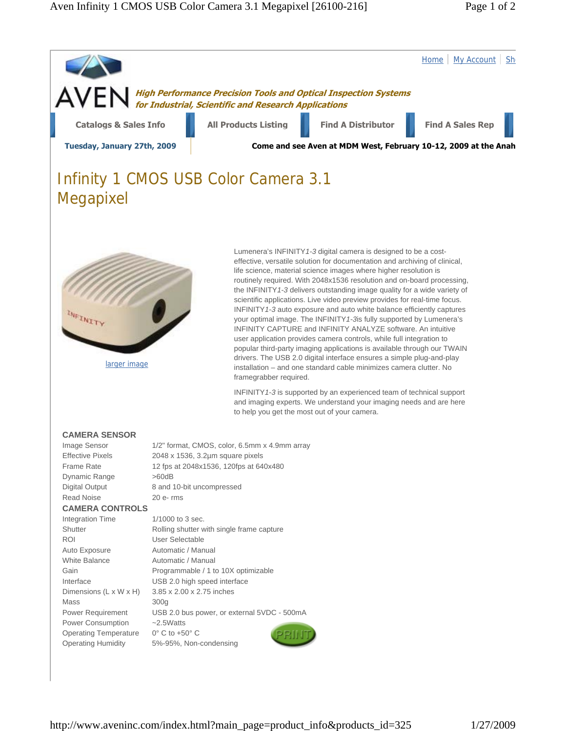